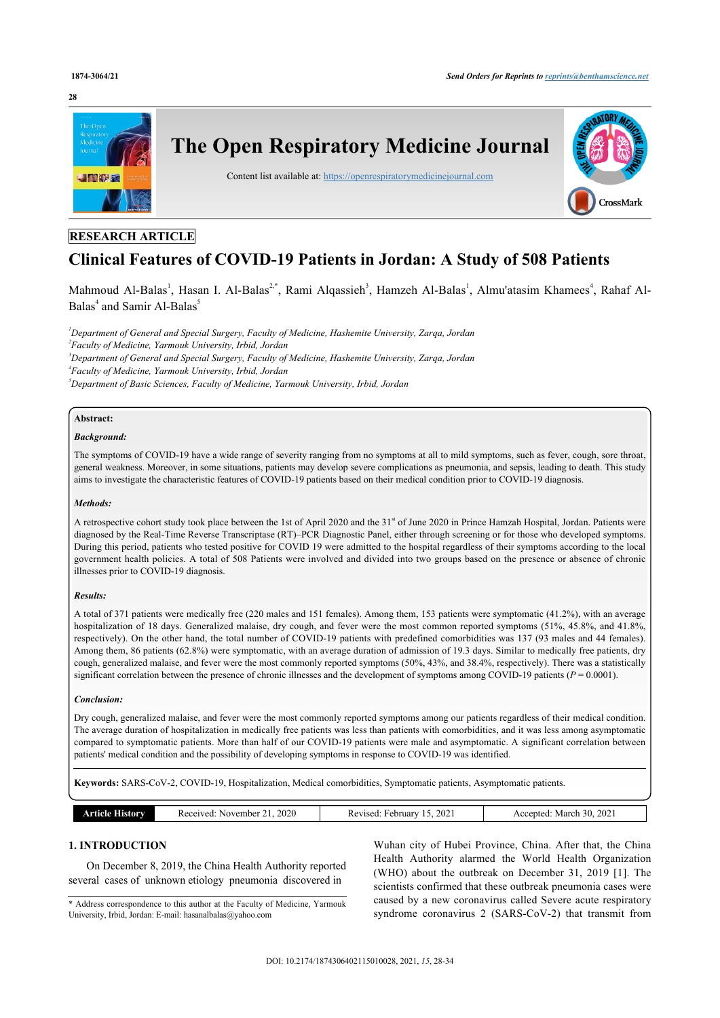#### **28**



# **RESEARCH ARTICLE**

# **Clinical Features of COVID-19 Patients in Jordan: A Study of 508 Patients**

Mahmoud Al-Balas<sup>[1](#page-0-0)</sup>, Hasan I. Al-Balas<sup>[2,](#page-0-1)[\\*](#page-0-2)</sup>, Rami Alqassieh<sup>[3](#page-0-3)</sup>, Hamzeh Al-Balas<sup>1</sup>, Almu'atasim Khamees<sup>[4](#page-0-4)</sup>, Rahaf Al-Balas<sup>[4](#page-0-4)</sup> and Samir Al-Balas<sup>[5](#page-0-5)</sup>

<span id="page-0-4"></span><span id="page-0-3"></span><span id="page-0-1"></span><span id="page-0-0"></span>*Department of General and Special Surgery, Faculty of Medicine, Hashemite University, Zarqa, Jordan Faculty of Medicine, Yarmouk University, Irbid, Jordan Department of General and Special Surgery, Faculty of Medicine, Hashemite University, Zarqa, Jordan Faculty of Medicine, Yarmouk University, Irbid, Jordan Department of Basic Sciences, Faculty of Medicine, Yarmouk University, Irbid, Jordan*

# <span id="page-0-5"></span>**Abstract:**

#### *Background:*

The symptoms of COVID-19 have a wide range of severity ranging from no symptoms at all to mild symptoms, such as fever, cough, sore throat, general weakness. Moreover, in some situations, patients may develop severe complications as pneumonia, and sepsis, leading to death. This study aims to investigate the characteristic features of COVID-19 patients based on their medical condition prior to COVID-19 diagnosis.

#### *Methods:*

A retrospective cohort study took place between the 1st of April 2020 and the 31<sup>st</sup> of June 2020 in Prince Hamzah Hospital, Jordan. Patients were diagnosed by the Real-Time Reverse Transcriptase (RT)–PCR Diagnostic Panel, either through screening or for those who developed symptoms. During this period, patients who tested positive for COVID 19 were admitted to the hospital regardless of their symptoms according to the local government health policies. A total of 508 Patients were involved and divided into two groups based on the presence or absence of chronic illnesses prior to COVID-19 diagnosis.

#### *Results:*

A total of 371 patients were medically free (220 males and 151 females). Among them, 153 patients were symptomatic (41.2%), with an average hospitalization of 18 days. Generalized malaise, dry cough, and fever were the most common reported symptoms (51%, 45.8%, and 41.8%, respectively). On the other hand, the total number of COVID-19 patients with predefined comorbidities was 137 (93 males and 44 females). Among them, 86 patients (62.8%) were symptomatic, with an average duration of admission of 19.3 days. Similar to medically free patients, dry cough, generalized malaise, and fever were the most commonly reported symptoms (50%, 43%, and 38.4%, respectively). There was a statistically significant correlation between the presence of chronic illnesses and the development of symptoms among COVID-19 patients ( $P = 0.0001$ ).

#### *Conclusion:*

Dry cough, generalized malaise, and fever were the most commonly reported symptoms among our patients regardless of their medical condition. The average duration of hospitalization in medically free patients was less than patients with comorbidities, and it was less among asymptomatic compared to symptomatic patients. More than half of our COVID-19 patients were male and asymptomatic. A significant correlation between patients' medical condition and the possibility of developing symptoms in response to COVID-19 was identified.

**Keywords:** SARS-CoV-2, COVID-19, Hospitalization, Medical comorbidities, Symptomatic patients, Asymptomatic patients.

| itorv | 2020<br>. November<br>20001<br>'veo<br>____ | 202<br>February<br>Revised: | 2021<br>30<br>March<br>nent.<br>$\sim$<br>`` |
|-------|---------------------------------------------|-----------------------------|----------------------------------------------|
|       |                                             |                             |                                              |

# **1. INTRODUCTION**

On December 8, 2019, the China Health Authority reported several cases of unknown etiology pneumonia discovered in

<span id="page-0-2"></span>\* Address correspondence to this author at the Faculty of Medicine, Yarmouk University, Irbid, Jordan: E-mail: [hasanalbalas@yahoo.com](mailto:hasanalbalas@yahoo.com)

Wuhan city of Hubei Province, China. After that, the China Health Authority alarmed the World Health Organization (WHO) about the outbreak on December 31, 2019[[1](#page-5-0)]. The scientists confirmed that these outbreak pneumonia cases were caused by a new coronavirus called Severe acute respiratory syndrome coronavirus 2 (SARS-CoV-2) that transmit from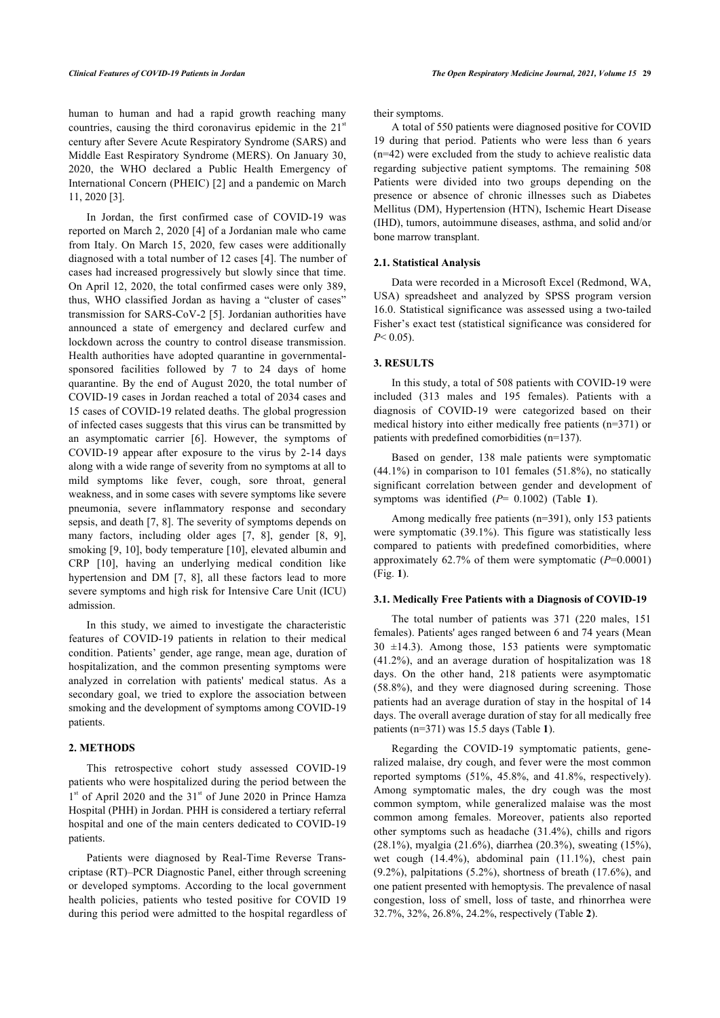human to human and had a rapid growth reaching many countries, causing the third coronavirus epidemic in the  $21<sup>st</sup>$ century after Severe Acute Respiratory Syndrome (SARS) and Middle East Respiratory Syndrome (MERS). On January 30, 2020, the WHO declared a Public Health Emergency of International Concern (PHEIC) [[2\]](#page-5-1) and a pandemic on March 11, 2020 [\[3\]](#page-5-2).

In Jordan, the first confirmed case of COVID-19 was reported on March 2, 2020 [\[4\]](#page-5-3) of a Jordanian male who came from Italy. On March 15, 2020, few cases were additionally diagnosed with a total number of 12 cases [[4](#page-5-3)]. The number of cases had increased progressively but slowly since that time. On April 12, 2020, the total confirmed cases were only 389, thus, WHO classified Jordan as having a "cluster of cases" transmission for SARS-CoV-2 [\[5\]](#page-5-4). Jordanian authorities have announced a state of emergency and declared curfew and lockdown across the country to control disease transmission. Health authorities have adopted quarantine in governmentalsponsored facilities followed by 7 to 24 days of home quarantine. By the end of August 2020, the total number of COVID-19 cases in Jordan reached a total of 2034 cases and 15 cases of COVID-19 related deaths. The global progression of infected cases suggests that this virus can be transmitted by an asymptomatic carrier [\[6\]](#page-5-5). However, the symptoms of COVID-19 appear after exposure to the virus by 2-14 days along with a wide range of severity from no symptoms at all to mild symptoms like fever, cough, sore throat, general weakness, and in some cases with severe symptoms like severe pneumonia, severe inflammatory response and secondary sepsis, and death [[7](#page-5-6), [8](#page-5-7)]. The severity of symptoms depends on many factors, including older ages[[7](#page-5-6), [8](#page-5-7)], gender [\[8,](#page-5-7) [9\]](#page-5-8), smoking [[9](#page-5-8), [10](#page-5-9)], body temperature [\[10\]](#page-5-9), elevated albumin and CRP [\[10](#page-5-9)], having an underlying medical condition like hypertension and DM [\[7,](#page-5-6) [8\]](#page-5-7), all these factors lead to more severe symptoms and high risk for Intensive Care Unit (ICU) admission.

In this study, we aimed to investigate the characteristic features of COVID-19 patients in relation to their medical condition. Patients' gender, age range, mean age, duration of hospitalization, and the common presenting symptoms were analyzed in correlation with patients' medical status. As a secondary goal, we tried to explore the association between smoking and the development of symptoms among COVID-19 patients.

# **2. METHODS**

This retrospective cohort study assessed COVID-19 patients who were hospitalized during the period between the 1<sup>st</sup> of April 2020 and the 31<sup>st</sup> of June 2020 in Prince Hamza Hospital (PHH) in Jordan. PHH is considered a tertiary referral hospital and one of the main centers dedicated to COVID-19 patients.

Patients were diagnosed by Real-Time Reverse Transcriptase (RT)–PCR Diagnostic Panel, either through screening or developed symptoms. According to the local government health policies, patients who tested positive for COVID 19 during this period were admitted to the hospital regardless of their symptoms.

A total of 550 patients were diagnosed positive for COVID 19 during that period. Patients who were less than 6 years (n=42) were excluded from the study to achieve realistic data regarding subjective patient symptoms. The remaining 508 Patients were divided into two groups depending on the presence or absence of chronic illnesses such as Diabetes Mellitus (DM), Hypertension (HTN), Ischemic Heart Disease (IHD), tumors, autoimmune diseases, asthma, and solid and/or bone marrow transplant.

#### **2.1. Statistical Analysis**

Data were recorded in a Microsoft Excel (Redmond, WA, USA) spreadsheet and analyzed by SPSS program version 16.0. Statistical significance was assessed using a two-tailed Fisher's exact test (statistical significance was considered for *P*< 0.05).

#### **3. RESULTS**

In this study, a total of 508 patients with COVID-19 were included (313 males and 195 females). Patients with a diagnosis of COVID-19 were categorized based on their medical history into either medically free patients (n=371) or patients with predefined comorbidities (n=137).

Based on gender, 138 male patients were symptomatic (44.1%) in comparison to 101 females (51.8%), no statically significant correlation between gender and development of symptoms was identified (*P*= 0.1002) (Table**1**).

Among medically free patients (n=391), only 153 patients were symptomatic (39.1%). This figure was statistically less compared to patients with predefined comorbidities, where approximately 62.7% of them were symptomatic (*P*=0.0001) (Fig. **[1](#page-2-1)**).

#### **3.1. Medically Free Patients with a Diagnosis of COVID-19**

The total number of patients was 371 (220 males, 151 females). Patients' ages ranged between 6 and 74 years (Mean  $30 \pm 14.3$ ). Among those, 153 patients were symptomatic (41.2%), and an average duration of hospitalization was 18 days. On the other hand, 218 patients were asymptomatic (58.8%), and they were diagnosed during screening. Those patients had an average duration of stay in the hospital of 14 days. The overall average duration of stay for all medically free patients (n=371) was 15.5 days (Table **[1](#page-2-0)**).

Regarding the COVID-19 symptomatic patients, generalized malaise, dry cough, and fever were the most common reported symptoms (51%, 45.8%, and 41.8%, respectively). Among symptomatic males, the dry cough was the most common symptom, while generalized malaise was the most common among females. Moreover, patients also reported other symptoms such as headache (31.4%), chills and rigors (28.1%), myalgia (21.6%), diarrhea (20.3%), sweating (15%), wet cough (14.4%), abdominal pain (11.1%), chest pain  $(9.2\%)$ , palpitations  $(5.2\%)$ , shortness of breath  $(17.6\%)$ , and one patient presented with hemoptysis. The prevalence of nasal congestion, loss of smell, loss of taste, and rhinorrhea were 32.7%, 32%, 26.8%, 24.2%, respectively (Table **[2](#page-2-2)**).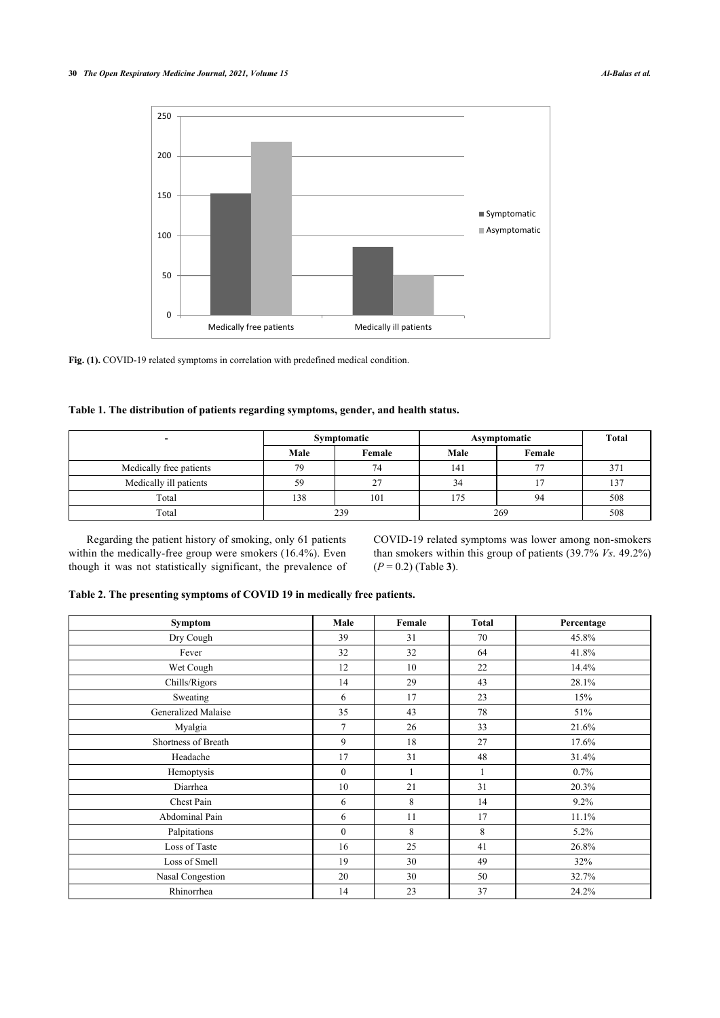<span id="page-2-1"></span>

**Fig. (1).** COVID-19 related symptoms in correlation with predefined medical condition.

### <span id="page-2-0"></span>**Table 1. The distribution of patients regarding symptoms, gender, and health status.**

| $\overline{\phantom{0}}$ |      | Symptomatic | Asymptomatic | Total  |     |
|--------------------------|------|-------------|--------------|--------|-----|
|                          | Male | Female      | Male         | Female |     |
| Medically free patients  | 79   | 74          | 141          | 77     | 371 |
| Medically ill patients   | 59   | 27          | 34           |        | 137 |
| Total                    | 138  | 101         | 175          | 94     | 508 |
| Total                    | 239  |             | 269          | 508    |     |

Regarding the patient history of smoking, only 61 patients within the medically-free group were smokers (16.4%). Even though it was not statistically significant, the prevalence of COVID-19 related symptoms was lower among non-smokers than smokers within this group of patients (39.7% *Vs*. 49.2%) (*P* = 0.2) (Table **[3](#page-2-3)**).

# <span id="page-2-2"></span>**Table 2. The presenting symptoms of COVID 19 in medically free patients.**

<span id="page-2-3"></span>

| <b>Symptom</b>      | Male           | Female | Total | Percentage |
|---------------------|----------------|--------|-------|------------|
| Dry Cough           | 39             | 31     | 70    | 45.8%      |
| Fever               | 32             | 32     | 64    | 41.8%      |
| Wet Cough           | 12             | 10     | 22    | 14.4%      |
| Chills/Rigors       | 14             | 29     | 43    | 28.1%      |
| Sweating            | 6              | 17     | 23    | 15%        |
| Generalized Malaise | 35             | 43     | 78    | 51%        |
| Myalgia             | 7              | 26     | 33    | 21.6%      |
| Shortness of Breath | 9              | 18     | 27    | 17.6%      |
| Headache            | 17             | 31     | 48    | 31.4%      |
| Hemoptysis          | $\overline{0}$ |        |       | 0.7%       |
| Diarrhea            | 10             | 21     | 31    | 20.3%      |
| Chest Pain          | 6              | 8      | 14    | 9.2%       |
| Abdominal Pain      | 6              | 11     | 17    | 11.1%      |
| Palpitations        | $\theta$       | 8      | 8     | 5.2%       |
| Loss of Taste       | 16             | 25     | 41    | 26.8%      |
| Loss of Smell       | 19             | 30     | 49    | 32%        |
| Nasal Congestion    | 20             | 30     | 50    | 32.7%      |
| Rhinorrhea          | 14             | 23     | 37    | 24.2%      |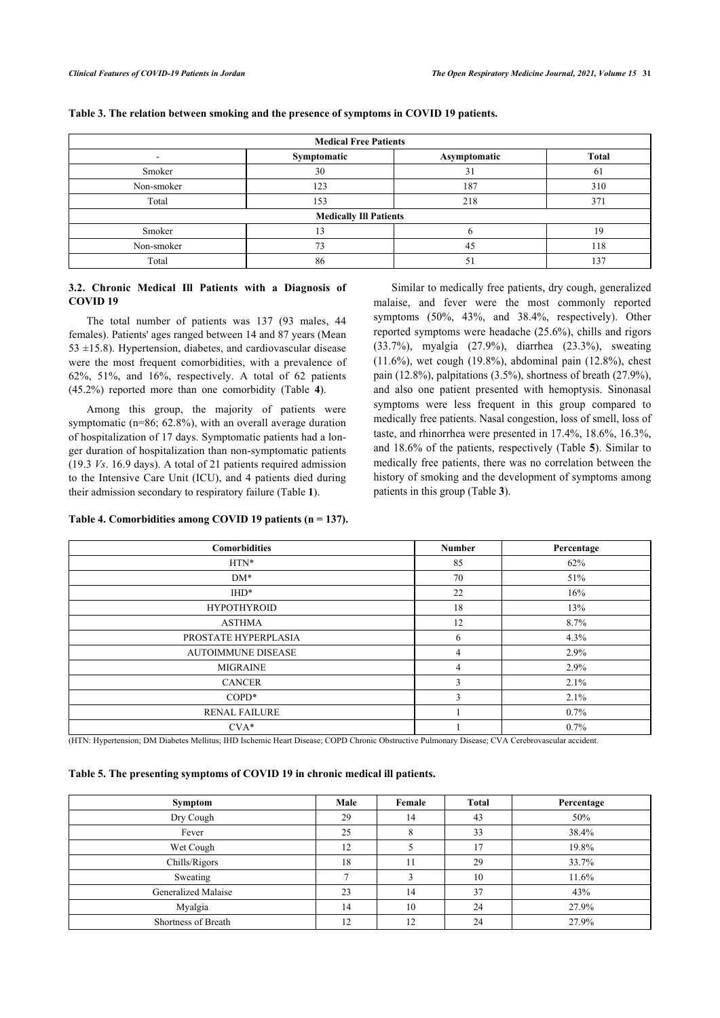| <b>Medical Free Patients</b>  |             |              |              |  |  |  |
|-------------------------------|-------------|--------------|--------------|--|--|--|
| ۰                             | Symptomatic | Asymptomatic | <b>Total</b> |  |  |  |
| Smoker                        | 30          | 31           | 61           |  |  |  |
| Non-smoker                    | 123         | 187          | 310          |  |  |  |
| Total                         | 153         | 218          | 371          |  |  |  |
| <b>Medically Ill Patients</b> |             |              |              |  |  |  |
| Smoker                        | 13          |              | 19           |  |  |  |
| Non-smoker                    | 73          | 45           | 118          |  |  |  |
| Total                         | 86          | 51           | 137          |  |  |  |

#### **Table 3. The relation between smoking and the presence of symptoms in COVID 19 patients.**

# **3.2. Chronic Medical Ill Patients with a Diagnosis of COVID 19**

The total number of patients was 137 (93 males, 44 females). Patients' ages ranged between 14 and 87 years (Mean  $53 \pm 15.8$ ). Hypertension, diabetes, and cardiovascular disease were the most frequent comorbidities, with a prevalence of 62%, 51%, and 16%, respectively. A total of 62 patients (45.2%) reported more than one comorbidity (Table**4**).

Among this group, the majority of patients were symptomatic (n=86; 62.8%), with an overall average duration of hospitalization of 17 days. Symptomatic patients had a longer duration of hospitalization than non-symptomatic patients (19.3 *Vs*. 16.9 days). A total of 21 patients required admission to the Intensive Care Unit (ICU), and 4 patients died during their admission secondary to respiratory failure (Table **[1](#page-2-0)**).

Similar to medically free patients, dry cough, generalized malaise, and fever were the most commonly reported symptoms (50%, 43%, and 38.4%, respectively). Other reported symptoms were headache (25.6%), chills and rigors (33.7%), myalgia (27.9%), diarrhea (23.3%), sweating (11.6%), wet cough (19.8%), abdominal pain (12.8%), chest pain (12.8%), palpitations (3.5%), shortness of breath (27.9%), and also one patient presented with hemoptysis. Sinonasal symptoms were less frequent in this group compared to medically free patients. Nasal congestion, loss of smell, loss of taste, and rhinorrhea were presented in 17.4%, [18](#page-3-0).6%, 16.3%, and 18.6% of the patients, respectively (Table **5**). Similar to medically free patients, there was no correlation between the history of smoking and the [de](#page-2-3)velopment of symptoms among patients in this group (Table **3**).

# **Table 4. Comorbidities among COVID 19 patients (n = 137).**

| <b>Comorbidities</b>      | <b>Number</b> | Percentage |
|---------------------------|---------------|------------|
| $HTN*$                    | 85            | 62%        |
| $DM*$                     | 70            | 51%        |
| $IHD^*$                   | 22            | 16%        |
| <b>HYPOTHYROID</b>        | 18            | 13%        |
| <b>ASTHMA</b>             | 12            | 8.7%       |
| PROSTATE HYPERPLASIA      | 6             | 4.3%       |
| <b>AUTOIMMUNE DISEASE</b> | 4             | 2.9%       |
| <b>MIGRAINE</b>           | 4             | 2.9%       |
| <b>CANCER</b>             | 3             | 2.1%       |
| $COPD*$                   | 3             | 2.1%       |
| <b>RENAL FAILURE</b>      |               | $0.7\%$    |
| $CVA*$                    |               | $0.7\%$    |

(HTN: Hypertension; DM Diabetes Mellitus; IHD Ischemic Heart Disease; COPD Chronic Obstructive Pulmonary Disease; CVA Cerebrovascular accident.

# <span id="page-3-0"></span>**Table 5. The presenting symptoms of COVID 19 in chronic medical ill patients.**

| <b>Symptom</b>      | Male | Female | <b>Total</b> | Percentage |
|---------------------|------|--------|--------------|------------|
| Dry Cough           | 29   | 14     | 43           | 50%        |
| Fever               | 25   | Ō      | 33           | 38.4%      |
| Wet Cough           | 12   |        | 17           | 19.8%      |
| Chills/Rigors       | 18   | 11     | 29           | 33.7%      |
| Sweating            |      |        | 10           | 11.6%      |
| Generalized Malaise | 23   | 14     | 37           | 43%        |
| Myalgia             | 14   | 10     | 24           | 27.9%      |
| Shortness of Breath | 12   | 12     | 24           | 27.9%      |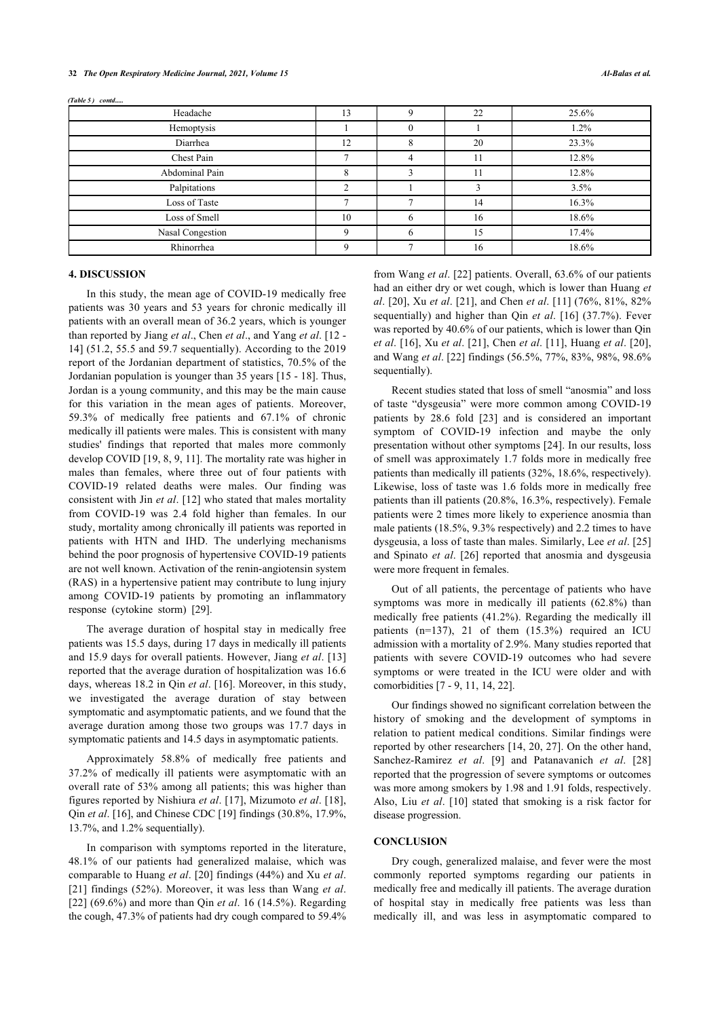| Headache         | 13 |    | 22 | 25.6% |
|------------------|----|----|----|-------|
| Hemoptysis       |    |    |    | 1.2%  |
| Diarrhea         | 12 |    | 20 | 23.3% |
| Chest Pain       |    | 4  | 11 | 12.8% |
| Abdominal Pain   | 8  |    | 11 | 12.8% |
| Palpitations     |    |    |    | 3.5%  |
| Loss of Taste    |    |    | 14 | 16.3% |
| Loss of Smell    | 10 | h. | 16 | 18.6% |
| Nasal Congestion |    | h. | 15 | 17.4% |
| Rhinorrhea       | Q  |    | 16 | 18.6% |
|                  |    |    |    |       |

(Table 5) contd.....

# **4. DISCUSSION**

In this study, the mean age of COVID-19 medically free patients was 30 years and 53 years for chronic medically ill patients with an overall mean of 36.2 years, which is younger than reported by Jiang *et al*., Chen *et al*., and Yang *et al*. [[12](#page-5-10) - [14\]](#page-5-11) (51.2, 55.5 and 59.7 sequentially). According to the 2019 report of the Jordanian department of statistics, 70.5% of the Jordanian population is younger than 35 years [[15](#page-5-12) - [18\]](#page-5-13). Thus, Jordan is a young community, and this may be the main cause for this variation in the mean ages of patients. Moreover, 59.3% of medically free patients and 67.1% of chronic medically ill patients were males. This is consistent with many studies' findings that reported that males more commonly develop COVID [\[19,](#page-5-14) [8,](#page-5-7) [9,](#page-5-8) [11](#page-5-15)]. The mortality rate was higher in males than females, where three out of four patients with COVID-19 related deaths were males. Our finding was consistent with Jin *et al*. [[12](#page-5-10)] who stated that males mortality from COVID-19 was 2.4 fold higher than females. In our study, mortality among chronically ill patients was reported in patients with HTN and IHD. The underlying mechanisms behind the poor prognosis of hypertensive COVID-19 patients are not well known. Activation of the renin-angiotensin system (RAS) in a hypertensive patient may contribute to lung injury among COVID-19 patients by promoting an inflammatory response (cytokine storm) [\[29](#page-6-0)].

The average duration of hospital stay in medically free patients was 15.5 days, during 17 days in medically ill patients and 15.9 days for overall patients. However, Jiang *et al*. [\[13](#page-5-16)] reported that the average duration of hospitalization was 16.6 days, whereas 18.2 in Qin *et al*. [\[16](#page-5-17)]. Moreover, in this study, we investigated the average duration of stay between symptomatic and asymptomatic patients, and we found that the average duration among those two groups was 17.7 days in symptomatic patients and 14.5 days in asymptomatic patients.

Approximately 58.8% of medically free patients and 37.2% of medically ill patients were asymptomatic with an overall rate of 53% among all patients; this was higher than figures reported by Nishiura *et al*. [[17](#page-5-18)], Mizumoto *et al*. [[18\]](#page-5-13), Qin *et al*. [\[16](#page-5-17)], and Chinese CDC [\[19](#page-5-14)] findings (30.8%, 17.9%, 13.7%, and 1.2% sequentially).

In comparison with symptoms reported in the literature, 48.1% of our patients had generalized malaise, which was comparable to Huang *et al*. [[20](#page-5-19)] findings (44%) and Xu *et al*. [[21\]](#page-5-20) findings (52%). Moreover, it was less than Wang *et al*. [[22\]](#page-5-21) (69.6%) and more than Qin *et al*. 16 (14.5%). Regarding the cough, 47.3% of patients had dry cough compared to 59.4%

from Wang *et al*. [[22](#page-5-21)] patients. Overall, 63.6% of our patients had an either dry or wet cough, which is lower than Huang *et al*. [\[20](#page-5-19)], Xu *et al*. [\[21](#page-5-20)], and Chen *et al*. [\[11](#page-5-15)] (76%, 81%, 82% sequentially) and higher than Qin *et al*. [\[16\]](#page-5-17) (37.7%). Fever was reported by 40.6% of our patients, which is lower than Qin *et al*. [[16](#page-5-17)], Xu *et al*. [[21](#page-5-20)], Chen *et al*. [[11\]](#page-5-15), Huang *et al*. [[20](#page-5-19)], and Wang *et al*. [[22\]](#page-5-21) findings (56.5%, 77%, 83%, 98%, 98.6% sequentially).

Recent studies stated that loss of smell "anosmia" and loss of taste "dysgeusia" were more common among COVID-19 patients by 28.6 fold [\[23\]](#page-5-5) and is considered an important symptom of COVID-19 infection and maybe the only presentation without other symptoms [[24\]](#page-5-6). In our results, loss of smell was approximately 1.7 folds more in medically free patients than medically ill patients (32%, 18.6%, respectively). Likewise, loss of taste was 1.6 folds more in medically free patients than ill patients (20.8%, 16.3%, respectively). Female patients were 2 times more likely to experience anosmia than male patients (18.5%, 9.3% respectively) and 2.2 times to have dysgeusia, a loss of taste than males. Similarly, Lee *et al*. [\[25\]](#page-5-22) and Spinato *et al*.[[26](#page-6-1)] reported that anosmia and dysgeusia were more frequent in females.

Out of all patients, the percentage of patients who have symptoms was more in medically ill patients (62.8%) than medically free patients (41.2%). Regarding the medically ill patients (n=137), 21 of them (15.3%) required an ICU admission with a mortality of 2.9%. Many studies reported that patients with severe COVID-19 outcomes who had severe symptoms or were treated in the ICU were older and with comorbidities [[7](#page-5-6) - [9](#page-5-8), [11,](#page-5-15) [14](#page-5-11), [22\]](#page-5-21).

Our findings showed no significant correlation between the history of smoking and the development of symptoms in relation to patient medical conditions. Similar findings were reported by other researchers [\[14](#page-5-11), [20,](#page-5-19) [27\]](#page-6-2). On the other hand, Sanchez-Ramirez *et al*.[[9](#page-5-8)] and Patanavanich *et al*. [\[28\]](#page-6-1) reported that the progression of severe symptoms or outcomes was more among smokers by 1.98 and 1.91 folds, respectively. Also, Liu *et al*.[[10\]](#page-5-9) stated that smoking is a risk factor for disease progression.

#### **CONCLUSION**

Dry cough, generalized malaise, and fever were the most commonly reported symptoms regarding our patients in medically free and medically ill patients. The average duration of hospital stay in medically free patients was less than medically ill, and was less in asymptomatic compared to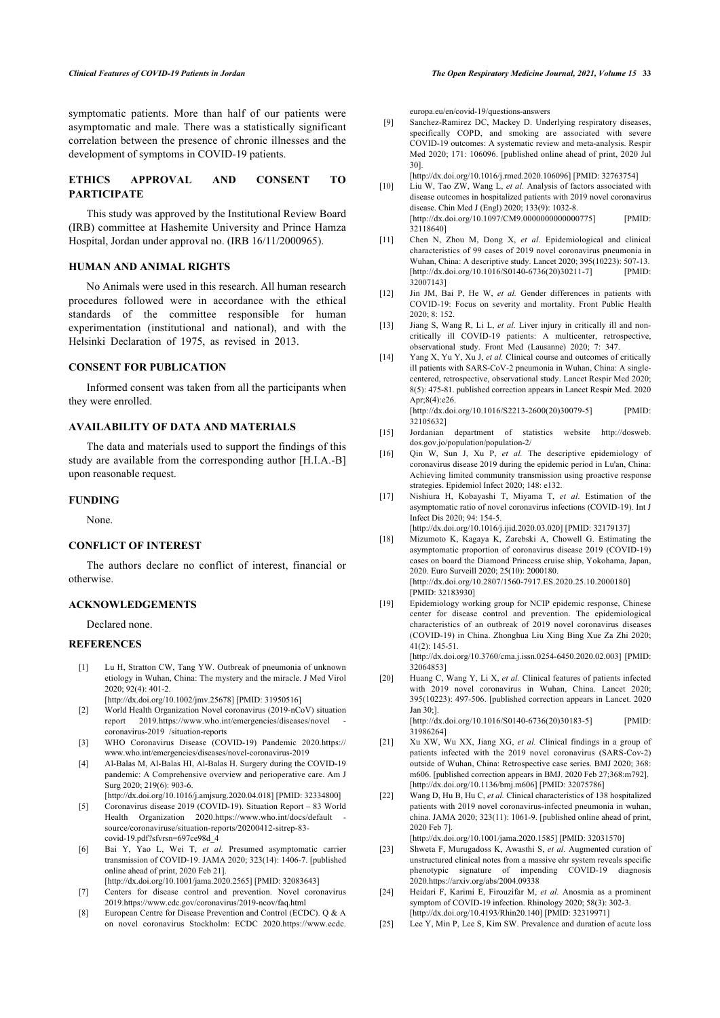<span id="page-5-8"></span>symptomatic patients. More than half of our patients were asymptomatic and male. There was a statistically significant correlation between the presence of chronic illnesses and the development of symptoms in COVID-19 patients.

## <span id="page-5-9"></span>**ETHICS APPROVAL AND CONSENT TO PARTICIPATE**

<span id="page-5-15"></span>This study was approved by the Institutional Review Board (IRB) committee at Hashemite University and Prince Hamza Hospital, Jordan under approval no. (IRB 16/11/2000965).

#### **HUMAN AND ANIMAL RIGHTS**

<span id="page-5-16"></span><span id="page-5-10"></span>No Animals were used in this research. All human research procedures followed were in accordance with the ethical standards of the committee responsible for human experimentation (institutional and national), and with the Helsinki Declaration of 1975, as revised in 2013.

# <span id="page-5-11"></span>**CONSENT FOR PUBLICATION**

Informed consent was taken from all the participants when they were enrolled.

#### <span id="page-5-12"></span>**AVAILABILITY OF DATA AND MATERIALS**

<span id="page-5-17"></span>The data and materials used to support the findings of this study are available from the corresponding author [H.I.A.-B] upon reasonable request.

#### <span id="page-5-18"></span>**FUNDING**

None.

## <span id="page-5-13"></span>**CONFLICT OF INTEREST**

The authors declare no conflict of interest, financial or otherwise.

# <span id="page-5-14"></span>**ACKNOWLEDGEMENTS**

Declared none.

#### <span id="page-5-19"></span><span id="page-5-0"></span>**REFERENCES**

- [1] Lu H, Stratton CW, Tang YW. Outbreak of pneumonia of unknown etiology in Wuhan, China: The mystery and the miracle. J Med Virol 2020; 92(4): 401-2.
	- [\[http://dx.doi.org/10.1002/jmv.25678](http://dx.doi.org/10.1002/jmv.25678)] [PMID: [31950516\]](http://www.ncbi.nlm.nih.gov/pubmed/31950516)
- <span id="page-5-1"></span>[2] World Health Organization Novel coronavirus (2019-nCoV) situation report 2019[.https://www.who.int/emergencies/diseases/novel](https://www.who.int/emergencies/diseases/novel-coronavirus-2019/situation-reports)  [coronavirus-2019 /situation-reports](https://www.who.int/emergencies/diseases/novel-coronavirus-2019/situation-reports)
- <span id="page-5-20"></span><span id="page-5-2"></span>[3] WHO Coronavirus Disease (COVID-19) Pandemic 2020.[https://](https://www.who.int/emergencies/diseases/novel-coronavirus-2019) [www.who.int/emergencies/diseases/novel-coronavirus-2019](https://www.who.int/emergencies/diseases/novel-coronavirus-2019)
- <span id="page-5-3"></span>[4] Al-Balas M, Al-Balas HI, Al-Balas H. Surgery during the COVID-19 pandemic: A Comprehensive overview and perioperative care. Am J Surg  $2020:219(6):903-6$ . [\[http://dx.doi.org/10.1016/j.amjsurg.2020.04.018](http://dx.doi.org/10.1016/j.amjsurg.2020.04.018)] [PMID: [32334800\]](http://www.ncbi.nlm.nih.gov/pubmed/32334800)
- <span id="page-5-21"></span><span id="page-5-4"></span>[5] Coronavirus disease 2019 (COVID-19). Situation Report – 83 World
- Health Organization 2020.https://www.who.int/docs/default [source/coronaviruse/situation-reports/20200412-sitrep-83](https://www.who.int/docs/default-source/coronaviruse/situation-reports/20200412-sitrep-83-covid-19.pdf?sfvrsn=697ce98d_4) [covid-19.pdf?sfvrsn=697ce98d\\_4](https://www.who.int/docs/default-source/coronaviruse/situation-reports/20200412-sitrep-83-covid-19.pdf?sfvrsn=697ce98d_4)
- <span id="page-5-5"></span>[6] Bai Y, Yao L, Wei T, *et al.* Presumed asymptomatic carrier transmission of COVID-19. JAMA 2020; 323(14): 1406-7. [published online ahead of print, 2020 Feb 21]. [\[http://dx.doi.org/10.1001/jama.2020.2565](http://dx.doi.org/10.1001/jama.2020.2565)] [PMID: [32083643\]](http://www.ncbi.nlm.nih.gov/pubmed/32083643)
- <span id="page-5-6"></span>[7] Centers for disease control and prevention. Novel coronavirus 2019[.https://www.cdc.gov/coronavirus/2019-ncov/faq.html](https://www.cdc.gov/coronavirus/2019-ncov/faq.html)
- <span id="page-5-22"></span><span id="page-5-7"></span>[8] European Centre for Disease Prevention and Control (ECDC). Q & A on novel coronavirus Stockholm: ECDC 2020.[https://www.ecdc.](https://www.ecdc.europa.eu/en/covid-19/questions-answers)

[europa.eu/en/covid-19/questions-answers](https://www.ecdc.europa.eu/en/covid-19/questions-answers)

[9] Sanchez-Ramirez DC, Mackey D. Underlying respiratory diseases, specifically COPD, and smoking are associated with severe COVID-19 outcomes: A systematic review and meta-analysis. Respir Med 2020; 171: 106096. [published online ahead of print, 2020 Jul 30].

[\[http://dx.doi.org/10.1016/j.rmed.2020.106096](http://dx.doi.org/10.1016/j.rmed.2020.106096)] [PMID: [32763754\]](http://www.ncbi.nlm.nih.gov/pubmed/32763754)

- [10] Liu W, Tao ZW, Wang L, et al. Analysis of factors associated with disease outcomes in hospitalized patients with 2019 novel coronavirus disease. Chin Med J (Engl) 2020; 133(9): 1032-8. [\[http://dx.doi.org/10.1097/CM9.0000000000000775](http://dx.doi.org/10.1097/CM9.0000000000000775)] [PMID: [32118640\]](http://www.ncbi.nlm.nih.gov/pubmed/32118640)
- [11] Chen N, Zhou M, Dong X, et al. Epidemiological and clinical characteristics of 99 cases of 2019 novel coronavirus pneumonia in Wuhan, China: A descriptive study. Lancet 2020; 395(10223): 507-13.<br>
[PMID: [PMID: 1016/S0140-6736(20)30211-71 [PMID:  $[http://dx.doi.org/10.1016/S0140-6736(20)30211-7]$  $[http://dx.doi.org/10.1016/S0140-6736(20)30211-7]$ [32007143\]](http://www.ncbi.nlm.nih.gov/pubmed/32007143)
- [12] Jin JM, Bai P, He W, *et al.* Gender differences in patients with COVID-19: Focus on severity and mortality. Front Public Health 2020; 8: 152.
- [13] Jiang S, Wang R, Li L, *et al.* Liver injury in critically ill and noncritically ill COVID-19 patients: A multicenter, retrospective, observational study. Front Med (Lausanne) 2020; 7: 347.
- [14] Yang X, Yu Y, Xu J, *et al.* Clinical course and outcomes of critically ill patients with SARS-CoV-2 pneumonia in Wuhan, China: A singlecentered, retrospective, observational study. Lancet Respir Med 2020; 8(5): 475-81. published correction appears in Lancet Respir Med. 2020 Apr;8(4):e26. [\[http://dx.doi.org/10.1016/S2213-2600\(20\)30079-5](http://dx.doi.org/10.1016/S2213-2600(20)30079-5)] [PMID:

[32105632\]](http://www.ncbi.nlm.nih.gov/pubmed/32105632)

- [15] Jordanian department of statistics website [http://dosweb.](http://dosweb.dos.gov.jo/population/population-2/) [dos.gov.jo/population/population-2/](http://dosweb.dos.gov.jo/population/population-2/)
- [16] Qin W, Sun J, Xu P, *et al.* The descriptive epidemiology of coronavirus disease 2019 during the epidemic period in Lu'an, China: Achieving limited community transmission using proactive response strategies. Epidemiol Infect 2020; 148: e132.
- [17] Nishiura H, Kobayashi T, Miyama T, *et al.* Estimation of the asymptomatic ratio of novel coronavirus infections (COVID-19). Int J Infect Dis 2020; 94: 154-5.
- [\[http://dx.doi.org/10.1016/j.ijid.2020.03.020](http://dx.doi.org/10.1016/j.ijid.2020.03.020)] [PMID: [32179137\]](http://www.ncbi.nlm.nih.gov/pubmed/32179137) [18] Mizumoto K, Kagaya K, Zarebski A, Chowell G. Estimating the asymptomatic proportion of coronavirus disease 2019 (COVID-19) cases on board the Diamond Princess cruise ship, Yokohama, Japan, 2020. Euro Surveill 2020; 25(10): 2000180. [\[http://dx.doi.org/10.2807/1560-7917.ES.2020.25.10.2000180](http://dx.doi.org/10.2807/1560-7917.ES.2020.25.10.2000180)] [PMID: [32183930\]](http://www.ncbi.nlm.nih.gov/pubmed/32183930)
- [19] Epidemiology working group for NCIP epidemic response, Chinese center for disease control and prevention. The epidemiological characteristics of an outbreak of 2019 novel coronavirus diseases (COVID-19) in China. Zhonghua Liu Xing Bing Xue Za Zhi 2020;  $41(2): 145-51$

[\[http://dx.doi.org/10.3760/cma.j.issn.0254-6450.2020.02.003\]](http://dx.doi.org/10.3760/cma.j.issn.0254-6450.2020.02.003) [PMID: [32064853\]](http://www.ncbi.nlm.nih.gov/pubmed/32064853)

[20] Huang C, Wang Y, Li X, *et al.* Clinical features of patients infected with 2019 novel coronavirus in Wuhan, China. Lancet 2020; 395(10223): 497-506. [published correction appears in Lancet. 2020 Jan 30;].

[\[http://dx.doi.org/10.1016/S0140-6736\(20\)30183-5](http://dx.doi.org/10.1016/S0140-6736(20)30183-5)] [PMID: [31986264\]](http://www.ncbi.nlm.nih.gov/pubmed/31986264)

- [21] Xu XW, Wu XX, Jiang XG, *et al.* Clinical findings in a group of patients infected with the 2019 novel coronavirus (SARS-Cov-2) outside of Wuhan, China: Retrospective case series. BMJ 2020; 368: m606. [published correction appears in BMJ. 2020 Feb 27;368:m792]. [\[http://dx.doi.org/10.1136/bmj.m606](http://dx.doi.org/10.1136/bmj.m606)] [PMID: [32075786\]](http://www.ncbi.nlm.nih.gov/pubmed/32075786)
- [22] Wang D, Hu B, Hu C, *et al.* Clinical characteristics of 138 hospitalized patients with 2019 novel coronavirus-infected pneumonia in wuhan, china. JAMA 2020; 323(11): 1061-9. [published online ahead of print, 2020 Feb 7].

[\[http://dx.doi.org/10.1001/jama.2020.1585\]](http://dx.doi.org/10.1001/jama.2020.1585) [PMID: [32031570](http://www.ncbi.nlm.nih.gov/pubmed/32031570)]

- [23] Shweta F, Murugadoss K, Awasthi S, *et al.* Augmented curation of unstructured clinical notes from a massive ehr system reveals specific phenotypic signature of impending COVID-19 diagnosis 2020.<https://arxiv.org/abs/2004.09338>
- [24] Heidari F, Karimi E, Firouzifar M, *et al.* Anosmia as a prominent symptom of COVID-19 infection. Rhinology 2020; 58(3): 302-3. [\[http://dx.doi.org/10.4193/Rhin20.140](http://dx.doi.org/10.4193/Rhin20.140)] [PMID: [32319971\]](http://www.ncbi.nlm.nih.gov/pubmed/32319971)
- [25] Lee Y, Min P, Lee S, Kim SW. Prevalence and duration of acute loss